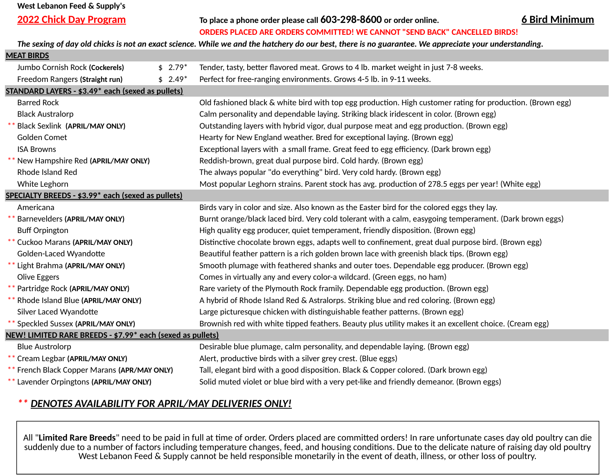## **West Lebanon Feed & Supply's**

**2022 Chick Day Program 6 Bird Minimum To place a phone order please call 603-298-8600 or order online.**

**ORDERS PLACED ARE ORDERS COMMITTED! WE CANNOT "SEND BACK" CANCELLED BIRDS!**

*The sexing of day old chicks is not an exact science. While we and the hatchery do our best, there is no guarantee. We appreciate your understanding.*

| <b>MEAT BIRDS</b>                                          |          |                                                                                                            |  |  |  |
|------------------------------------------------------------|----------|------------------------------------------------------------------------------------------------------------|--|--|--|
| Jumbo Cornish Rock (Cockerels)<br>$$2.79*$                 |          | Tender, tasty, better flavored meat. Grows to 4 lb. market weight in just 7-8 weeks.                       |  |  |  |
| Freedom Rangers (Straight run)                             | $$2.49*$ | Perfect for free-ranging environments. Grows 4-5 lb. in 9-11 weeks.                                        |  |  |  |
| STANDARD LAYERS - \$3.49* each (sexed as pullets)          |          |                                                                                                            |  |  |  |
| <b>Barred Rock</b>                                         |          | Old fashioned black & white bird with top egg production. High customer rating for production. (Brown egg) |  |  |  |
| <b>Black Australorp</b>                                    |          | Calm personality and dependable laying. Striking black iridescent in color. (Brown egg)                    |  |  |  |
| <b>Black Sexlink (APRIL/MAY ONLY)</b>                      |          | Outstanding layers with hybrid vigor, dual purpose meat and egg production. (Brown egg)                    |  |  |  |
| Golden Comet                                               |          | Hearty for New England weather. Bred for exceptional laying. (Brown egg)                                   |  |  |  |
| <b>ISA Browns</b>                                          |          | Exceptional layers with a small frame. Great feed to egg efficiency. (Dark brown egg)                      |  |  |  |
| New Hampshire Red (APRIL/MAY ONLY)                         |          | Reddish-brown, great dual purpose bird. Cold hardy. (Brown egg)                                            |  |  |  |
| Rhode Island Red                                           |          | The always popular "do everything" bird. Very cold hardy. (Brown egg)                                      |  |  |  |
| White Leghorn                                              |          | Most popular Leghorn strains. Parent stock has avg. production of 278.5 eggs per year! (White egg)         |  |  |  |
| SPECIALTY BREEDS - \$3.99* each (sexed as pullets)         |          |                                                                                                            |  |  |  |
| Americana                                                  |          | Birds vary in color and size. Also known as the Easter bird for the colored eggs they lay.                 |  |  |  |
| Barnevelders (APRIL/MAY ONLY)                              |          | Burnt orange/black laced bird. Very cold tolerant with a calm, easygoing temperament. (Dark brown eggs)    |  |  |  |
| <b>Buff Orpington</b>                                      |          | High quality egg producer, quiet temperament, friendly disposition. (Brown egg)                            |  |  |  |
| Cuckoo Marans (APRIL/MAY ONLY)                             |          | Distinctive chocolate brown eggs, adapts well to confinement, great dual purpose bird. (Brown egg)         |  |  |  |
| Golden-Laced Wyandotte                                     |          | Beautiful feather pattern is a rich golden brown lace with greenish black tips. (Brown egg)                |  |  |  |
| Light Brahma (APRIL/MAY ONLY)                              |          | Smooth plumage with feathered shanks and outer toes. Dependable egg producer. (Brown egg)                  |  |  |  |
| Olive Eggers                                               |          | Comes in virtually any and every color-a wildcard. (Green eggs, no ham)                                    |  |  |  |
| Partridge Rock (APRIL/MAY ONLY)                            |          | Rare variety of the Plymouth Rock framily. Dependable egg production. (Brown egg)                          |  |  |  |
| Rhode Island Blue (APRIL/MAY ONLY)                         |          | A hybrid of Rhode Island Red & Astralorps. Striking blue and red coloring. (Brown egg)                     |  |  |  |
| Silver Laced Wyandotte                                     |          | Large picturesque chicken with distinguishable feather patterns. (Brown egg)                               |  |  |  |
| ** Speckled Sussex (APRIL/MAY ONLY)                        |          | Brownish red with white tipped feathers. Beauty plus utility makes it an excellent choice. (Cream egg)     |  |  |  |
| NEW! LIMITED RARE BREEDS - \$7.99* each (sexed as pullets) |          |                                                                                                            |  |  |  |
| <b>Blue Austrolorp</b>                                     |          | Desirable blue plumage, calm personality, and dependable laying. (Brown egg)                               |  |  |  |
| Cream Legbar (APRIL/MAY ONLY)                              |          | Alert, productive birds with a silver grey crest. (Blue eggs)                                              |  |  |  |
| French Black Copper Marans (APR/MAY ONLY)                  |          | Tall, elegant bird with a good disposition. Black & Copper colored. (Dark brown egg)                       |  |  |  |
| Lavender Orpingtons (APRIL/MAY ONLY)                       |          | Solid muted violet or blue bird with a very pet-like and friendly demeanor. (Brown eggs)                   |  |  |  |
|                                                            |          |                                                                                                            |  |  |  |

## *\*\* DENOTES AVAILABILITY FOR APRIL/MAY DELIVERIES ONLY!*

All "**Limited Rare Breeds**" need to be paid in full at time of order. Orders placed are committed orders! In rare unfortunate cases day old poultry can die suddenly due to a number of factors including temperature changes, feed, and housing conditions. Due to the delicate nature of raising day old poultry West Lebanon Feed & Supply cannot be held responsible monetarily in the event of death, illness, or other loss of poultry.